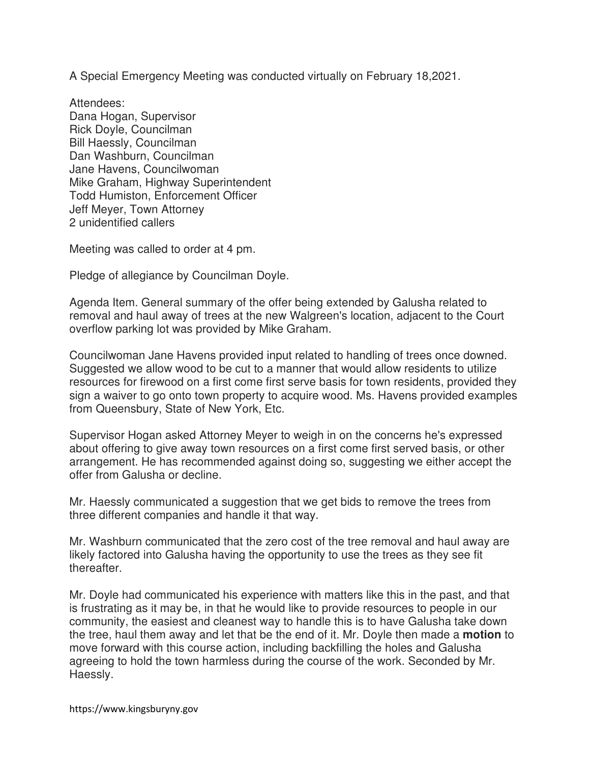A Special Emergency Meeting was conducted virtually on February 18,2021.

Attendees: Dana Hogan, Supervisor Rick Doyle, Councilman Bill Haessly, Councilman Dan Washburn, Councilman Jane Havens, Councilwoman Mike Graham, Highway Superintendent Todd Humiston, Enforcement Officer Jeff Meyer, Town Attorney 2 unidentified callers

Meeting was called to order at 4 pm.

Pledge of allegiance by Councilman Doyle.

Agenda Item. General summary of the offer being extended by Galusha related to removal and haul away of trees at the new Walgreen's location, adjacent to the Court overflow parking lot was provided by Mike Graham.

Councilwoman Jane Havens provided input related to handling of trees once downed. Suggested we allow wood to be cut to a manner that would allow residents to utilize resources for firewood on a first come first serve basis for town residents, provided they sign a waiver to go onto town property to acquire wood. Ms. Havens provided examples from Queensbury, State of New York, Etc.

Supervisor Hogan asked Attorney Meyer to weigh in on the concerns he's expressed about offering to give away town resources on a first come first served basis, or other arrangement. He has recommended against doing so, suggesting we either accept the offer from Galusha or decline.

Mr. Haessly communicated a suggestion that we get bids to remove the trees from three different companies and handle it that way.

Mr. Washburn communicated that the zero cost of the tree removal and haul away are likely factored into Galusha having the opportunity to use the trees as they see fit thereafter.

Mr. Doyle had communicated his experience with matters like this in the past, and that is frustrating as it may be, in that he would like to provide resources to people in our community, the easiest and cleanest way to handle this is to have Galusha take down the tree, haul them away and let that be the end of it. Mr. Doyle then made a **motion** to move forward with this course action, including backfilling the holes and Galusha agreeing to hold the town harmless during the course of the work. Seconded by Mr. Haessly.